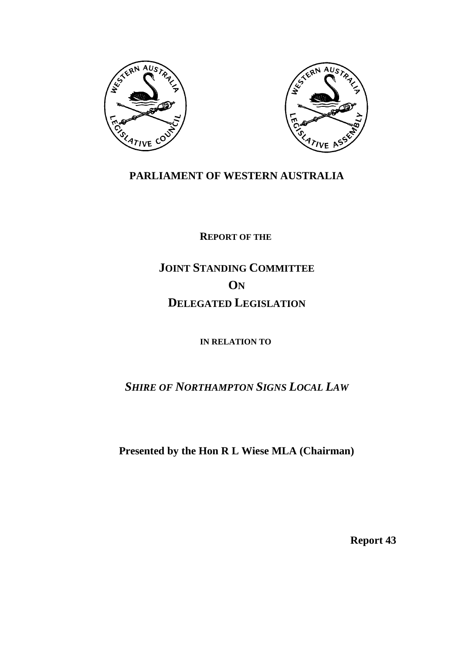



## **PARLIAMENT OF WESTERN AUSTRALIA**

**REPORT OF THE** 

## **JOINT STANDING COMMITTEE ON DELEGATED LEGISLATION**

**IN RELATION TO**

*SHIRE OF NORTHAMPTON SIGNS LOCAL LAW*

**Presented by the Hon R L Wiese MLA (Chairman)**

**Report 43**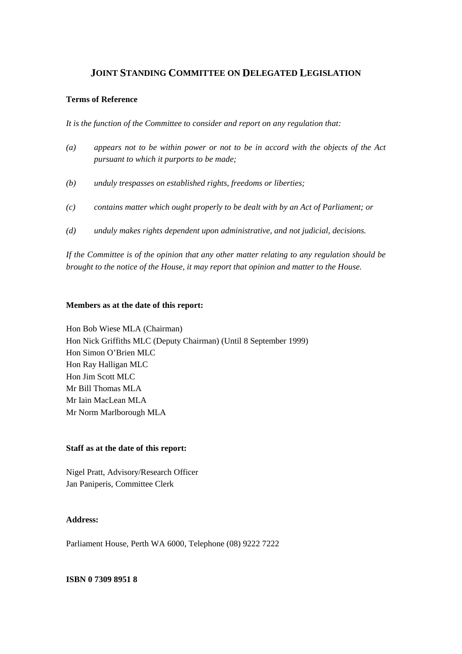## **JOINT STANDING COMMITTEE ON DELEGATED LEGISLATION**

## **Terms of Reference**

*It is the function of the Committee to consider and report on any regulation that:*

- *(a) appears not to be within power or not to be in accord with the objects of the Act pursuant to which it purports to be made;*
- *(b) unduly trespasses on established rights, freedoms or liberties;*
- *(c) contains matter which ought properly to be dealt with by an Act of Parliament; or*
- *(d) unduly makes rights dependent upon administrative, and not judicial, decisions.*

*If the Committee is of the opinion that any other matter relating to any regulation should be brought to the notice of the House, it may report that opinion and matter to the House.*

## **Members as at the date of this report:**

Hon Bob Wiese MLA (Chairman) Hon Nick Griffiths MLC (Deputy Chairman) (Until 8 September 1999) Hon Simon O'Brien MLC Hon Ray Halligan MLC Hon Jim Scott MLC Mr Bill Thomas MLA Mr Iain MacLean MLA Mr Norm Marlborough MLA

## **Staff as at the date of this report:**

Nigel Pratt, Advisory/Research Officer Jan Paniperis, Committee Clerk

## **Address:**

Parliament House, Perth WA 6000, Telephone (08) 9222 7222

## **ISBN 0 7309 8951 8**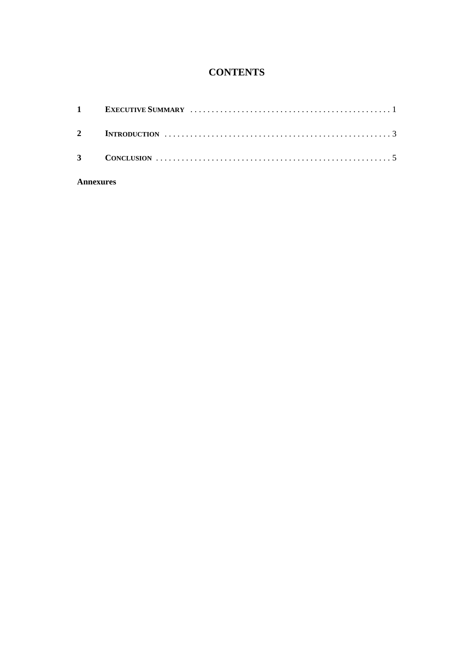## **CONTENTS**

## **Annexures**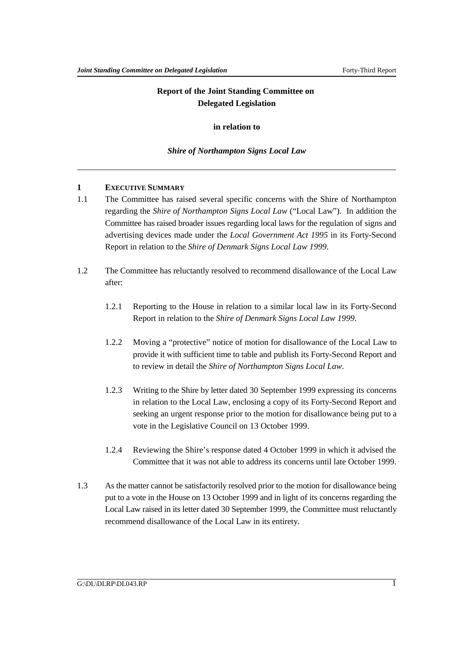## **Report of the Joint Standing Committee on Delegated Legislation**

## **in relation to**

## *Shire of Northampton Signs Local Law*

## **1 EXECUTIVE SUMMARY**

- 1.1 The Committee has raised several specific concerns with the Shire of Northampton regarding the *Shire of Northampton Signs Local Law* ("Local Law"). In addition the Committee has raised broader issues regarding local laws for the regulation of signs and advertising devices made under the *Local Government Act 1995* in its Forty-Second Report in relation to the *Shire of Denmark Signs Local Law 1999*.
- 1.2 The Committee has reluctantly resolved to recommend disallowance of the Local Law after:
	- 1.2.1 Reporting to the House in relation to a similar local law in its Forty-Second Report in relation to the *Shire of Denmark Signs Local Law 1999*.
	- 1.2.2 Moving a "protective" notice of motion for disallowance of the Local Law to provide it with sufficient time to table and publish its Forty-Second Report and to review in detail the *Shire of Northampton Signs Local Law*.
	- 1.2.3 Writing to the Shire by letter dated 30 September 1999 expressing its concerns in relation to the Local Law, enclosing a copy of its Forty-Second Report and seeking an urgent response prior to the motion for disallowance being put to a vote in the Legislative Council on 13 October 1999.
	- 1.2.4 Reviewing the Shire's response dated 4 October 1999 in which it advised the Committee that it was not able to address its concerns until late October 1999.
- 1.3 As the matter cannot be satisfactorily resolved prior to the motion for disallowance being put to a vote in the House on 13 October 1999 and in light of its concerns regarding the Local Law raised in its letter dated 30 September 1999, the Committee must reluctantly recommend disallowance of the Local Law in its entirety.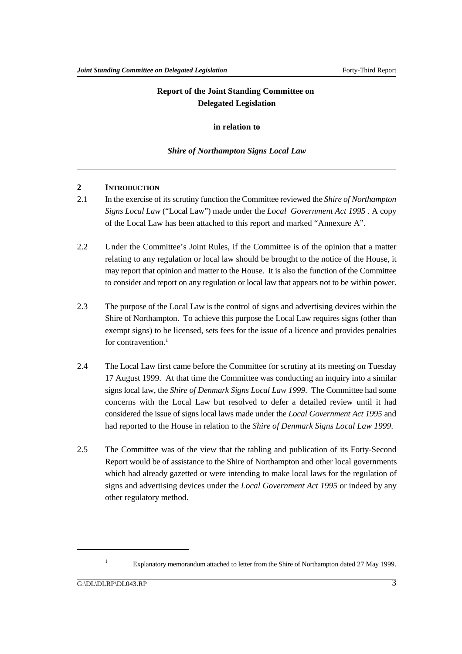## **Report of the Joint Standing Committee on Delegated Legislation**

## **in relation to**

## *Shire of Northampton Signs Local Law*

## **2 INTRODUCTION**

- 2.1 In the exercise of its scrutiny function the Committee reviewed the *Shire of Northampton Signs Local Law* ("Local Law") made under the *Local Government Act 1995* . A copy of the Local Law has been attached to this report and marked "Annexure A".
- 2.2 Under the Committee's Joint Rules, if the Committee is of the opinion that a matter relating to any regulation or local law should be brought to the notice of the House, it may report that opinion and matter to the House. It is also the function of the Committee to consider and report on any regulation or local law that appears not to be within power.
- 2.3 The purpose of the Local Law is the control of signs and advertising devices within the Shire of Northampton. To achieve this purpose the Local Law requires signs (other than exempt signs) to be licensed, sets fees for the issue of a licence and provides penalties for contravention.<sup>1</sup>
- 2.4 The Local Law first came before the Committee for scrutiny at its meeting on Tuesday 17 August 1999. At that time the Committee was conducting an inquiry into a similar signs local law, the *Shire of Denmark Signs Local Law 1999*. The Committee had some concerns with the Local Law but resolved to defer a detailed review until it had considered the issue of signs local laws made under the *Local Government Act 1995* and had reported to the House in relation to the *Shire of Denmark Signs Local Law 1999*.
- 2.5 The Committee was of the view that the tabling and publication of its Forty-Second Report would be of assistance to the Shire of Northampton and other local governments which had already gazetted or were intending to make local laws for the regulation of signs and advertising devices under the *Local Government Act 1995* or indeed by any other regulatory method.

<sup>&</sup>lt;sup>1</sup> Explanatory memorandum attached to letter from the Shire of Northampton dated 27 May 1999.

 $G:\D{DL}\D{L}$ PLO43.RP 3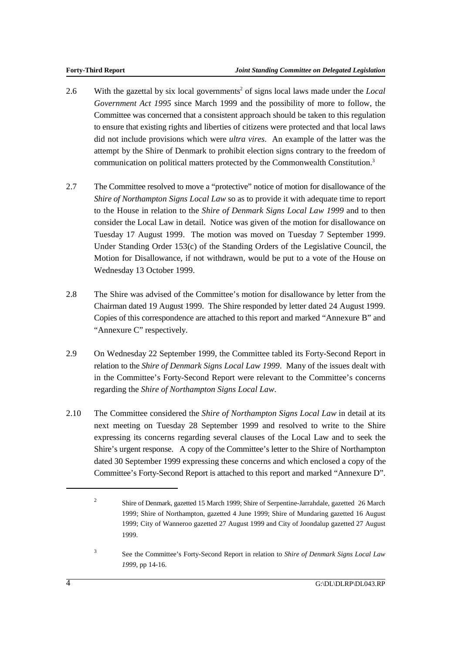- 2.6 With the gazettal by six local governments<sup>2</sup> of signs local laws made under the *Local Government Act 1995* since March 1999 and the possibility of more to follow, the Committee was concerned that a consistent approach should be taken to this regulation to ensure that existing rights and liberties of citizens were protected and that local laws did not include provisions which were *ultra vires*. An example of the latter was the attempt by the Shire of Denmark to prohibit election signs contrary to the freedom of communication on political matters protected by the Commonwealth Constitution.3
- 2.7 The Committee resolved to move a "protective" notice of motion for disallowance of the *Shire of Northampton Signs Local Law* so as to provide it with adequate time to report to the House in relation to the *Shire of Denmark Signs Local Law 1999* and to then consider the Local Law in detail. Notice was given of the motion for disallowance on Tuesday 17 August 1999. The motion was moved on Tuesday 7 September 1999. Under Standing Order 153(c) of the Standing Orders of the Legislative Council, the Motion for Disallowance, if not withdrawn, would be put to a vote of the House on Wednesday 13 October 1999.
- 2.8 The Shire was advised of the Committee's motion for disallowance by letter from the Chairman dated 19 August 1999. The Shire responded by letter dated 24 August 1999. Copies of this correspondence are attached to this report and marked "Annexure B" and "Annexure C" respectively.
- 2.9 On Wednesday 22 September 1999, the Committee tabled its Forty-Second Report in relation to the *Shire of Denmark Signs Local Law 1999*. Many of the issues dealt with in the Committee's Forty-Second Report were relevant to the Committee's concerns regarding the *Shire of Northampton Signs Local Law*.
- 2.10 The Committee considered the *Shire of Northampton Signs Local Law* in detail at its next meeting on Tuesday 28 September 1999 and resolved to write to the Shire expressing its concerns regarding several clauses of the Local Law and to seek the Shire's urgent response. A copy of the Committee's letter to the Shire of Northampton dated 30 September 1999 expressing these concerns and which enclosed a copy of the Committee's Forty-Second Report is attached to this report and marked "Annexure D".

 See the Committee's Forty-Second Report in relation to *Shire of Denmark Signs Local Law* <sup>3</sup> *1999*, pp 14-16.

Shire of Denmark, gazetted 15 March 1999; Shire of Serpentine-Jarrahdale, gazetted 26 March <sup>2</sup> 1999; Shire of Northampton, gazetted 4 June 1999; Shire of Mundaring gazetted 16 August 1999; City of Wanneroo gazetted 27 August 1999 and City of Joondalup gazetted 27 August 1999.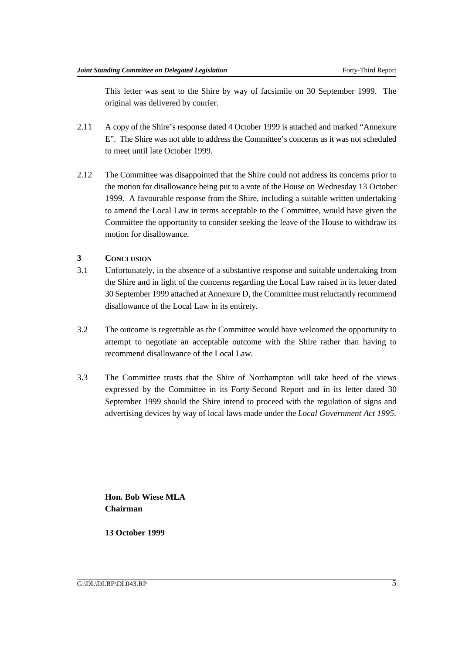This letter was sent to the Shire by way of facsimile on 30 September 1999. The original was delivered by courier.

- 2.11 A copy of the Shire's response dated 4 October 1999 is attached and marked "Annexure E". The Shire was not able to address the Committee's concerns as it was not scheduled to meet until late October 1999.
- 2.12 The Committee was disappointed that the Shire could not address its concerns prior to the motion for disallowance being put to a vote of the House on Wednesday 13 October 1999. A favourable response from the Shire, including a suitable written undertaking to amend the Local Law in terms acceptable to the Committee, would have given the Committee the opportunity to consider seeking the leave of the House to withdraw its motion for disallowance.

## **3 CONCLUSION**

- 3.1 Unfortunately, in the absence of a substantive response and suitable undertaking from the Shire and in light of the concerns regarding the Local Law raised in its letter dated 30 September 1999 attached at Annexure D, the Committee must reluctantly recommend disallowance of the Local Law in its entirety.
- 3.2 The outcome is regrettable as the Committee would have welcomed the opportunity to attempt to negotiate an acceptable outcome with the Shire rather than having to recommend disallowance of the Local Law.
- 3.3 The Committee trusts that the Shire of Northampton will take heed of the views expressed by the Committee in its Forty-Second Report and in its letter dated 30 September 1999 should the Shire intend to proceed with the regulation of signs and advertising devices by way of local laws made under the *Local Government Act 1995*.

**Hon. Bob Wiese MLA Chairman**

**13 October 1999**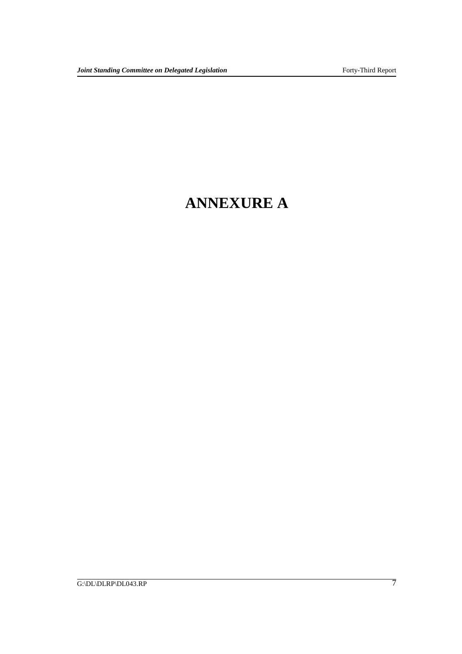## **ANNEXURE A**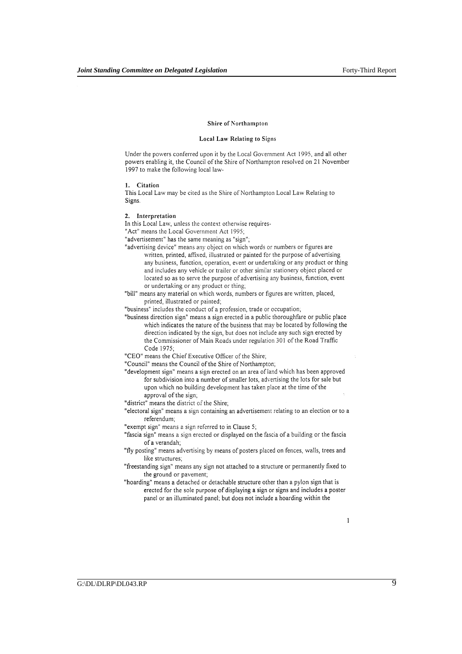#### Shire of Northampton

#### Local Law Relating to Signs

Under the powers conferred upon it by the Local Government Act 1995, and all other powers enabling it, the Council of the Shire of Northampton resolved on 21 November 1997 to make the following local law-

#### 1. Citation

This Local Law may be cited as the Shire of Northampton Local Law Relating to Signs.

## 2. Interpretation

In this Local Law, unless the context otherwise requires-

"Act" means the Local Government Act 1995;

"advertisement" has the same meaning as "sign";

"advertising device" means any object on which words or numbers or figures are written, printed, affixed, illustrated or painted for the purpose of advertising any business, function, operation, event or undertaking or any product or thing and includes any vehicle or trailer or other similar stationery object placed or located so as to serve the purpose of advertising any business, function, event or undertaking or any product or thing;

"bill" means any material on which words, numbers or figures are written, placed, printed, illustrated or painted;

"business" includes the conduct of a profession, trade or occupation;

"business direction sign" means a sign erected in a public thoroughfare or public place which indicates the nature of the business that may be located by following the direction indicated by the sign, but does not include any such sign erected by the Commissioner of Main Roads under regulation 301 of the Road Traffic Code 1975;

"CEO" means the Chief Executive Officer of the Shire;

"Council" means the Council of the Shire of Northampton;

- "development sign" means a sign erected on an area of land which has been approved for subdivision into a number of smaller lots, advertising the lots for sale but upon which no building development has taken place at the time of the approval of the sign;
- "district" means the district of the Shire;
- "electoral sign" means a sign containing an advertisement relating to an election or to a referendum;

"exempt sign" means a sign referred to in Clause 5;

"fascia sign" means a sign erected or displayed on the fascia of a building or the fascia of a verandah;

"fly posting" means advertising by means of posters placed on fences, walls, trees and like structures;

"freestanding sign" means any sign not attached to a structure or permanently fixed to the ground or pavement;

"hoarding" means a detached or detachable structure other than a pylon sign that is erected for the sole purpose of displaying a sign or signs and includes a poster panel or an illuminated panel; but does not include a hoarding within the

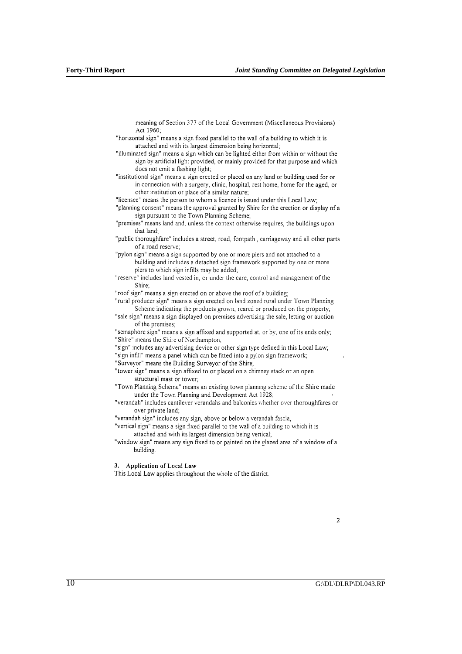meaning of Section 377 of the Local Government (Miscellaneous Provisions) Act 1960:

- "horizontal sign" means a sign fixed parallel to the wall of a building to which it is attached and with its largest dimension being horizontal;
- "illuminated sign" means a sign which can be lighted either from within or without the sign by artificial light provided, or mainly provided for that purpose and which does not emit a flashing light:
- "institutional sign" means a sign erected or placed on any land or building used for or in connection with a surgery, clinic, hospital, rest home, home for the aged, or other institution or place of a similar nature;

"licensee" means the person to whom a licence is issued under this Local Law;

"planning consent" means the approval granted by Shire for the erection or display of a sign pursuant to the Town Planning Scheme;

- "premises" means land and, unless the context otherwise requires, the buildings upon that land;
- "public thoroughfare" includes a street, road, footpath, carriageway and all other parts of a road reserve;

"pylon sign" means a sign supported by one or more piers and not attached to a building and includes a detached sign framework supported by one or more piers to which sign infills may be added;

"reserve" includes land vested in, or under the care, control and management of the Shire;

"roof sign" means a sign erected on or above the roof of a building;

"rural producer sign" means a sign erected on land zoned rural under Town Planning Scheme indicating the products grown, reared or produced on the property;

"sale sign" means a sign displayed on premises advertising the sale, letting or auction of the premises;

"semaphore sign" means a sign affixed and supported at. or by, one of its ends only; "Shire" means the Shire of Northampton,

- "sign" includes any advertising device or other sign type defined in this Local Law;
- "sign infill" means a panel which can be fitted into a pylon sign framework;
- "Surveyor" means the Building Surveyor of the Shire;
- "tower sign" means a sign affixed to or placed on a chimney stack or an open structural mast or tower;

"Town Planning Scheme" means an existing town planning scheme of the Shire made under the Town Planning and Development Act 1928;

"verandah" includes cantilever verandahs and balconies whether over thoroughfares or over private land;

"verandah sign" includes any sign, above or below a verandah fascia,

"vertical sign" means a sign fixed parallel to the wall of a building to which it is attached and with its largest dimension being vertical;

"window sign" means any sign fixed to or painted on the glazed area of a window of a building.

3. Application of Local Law

This Local Law applies throughout the whole of the district.

 $\overline{c}$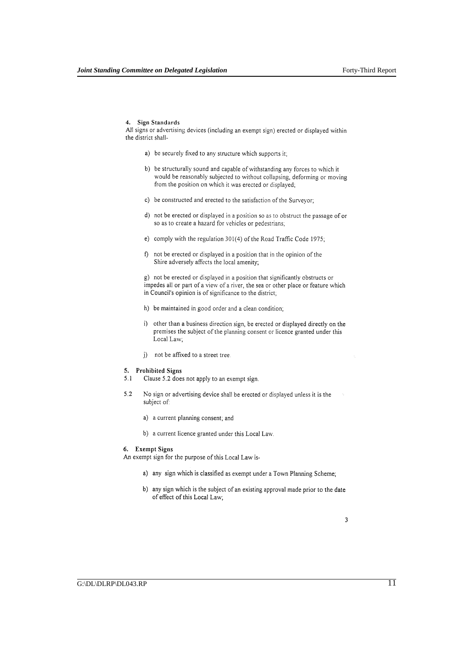## 4. Sign Standards

All signs or advertising devices (including an exempt sign) erected or displayed within the district shall-

- a) be securely fixed to any structure which supports it;
- b) be structurally sound and capable of withstanding any forces to which it would be reasonably subjected to without collapsing, deforming or moving from the position on which it was erected or displayed;
- c) be constructed and erected to the satisfaction of the Surveyor;
- d) not be erected or displayed in a position so as to obstruct the passage of or so as to create a hazard for vehicles or pedestrians;
- e) comply with the regulation 301(4) of the Road Traffic Code 1975;
- f) not be erected or displayed in a position that in the opinion of the Shire adversely affects the local amenity;

g) not be erected or displayed in a position that significantly obstructs or impedes all or part of a view of a river, the sea or other place or feature which in Council's opinion is of significance to the district;

- h) be maintained in good order and a clean condition;
- i) other than a business direction sign, be erected or displayed directly on the premises the subject of the planning consent or licence granted under this Local Law;
- j) not be affixed to a street tree.

## 5. Prohibited Signs

- $5.1$ Clause 5.2 does not apply to an exempt sign.
- $5.2$ No sign or advertising device shall be erected or displayed unless it is the subject of:
	- a) a current planning consent; and
	- b) a current licence granted under this Local Law.

#### 6. Exempt Signs

An exempt sign for the purpose of this Local Law is-

- a) any sign which is classified as exempt under a Town Planning Scheme;
- b) any sign which is the subject of an existing approval made prior to the date of effect of this Local Law;

3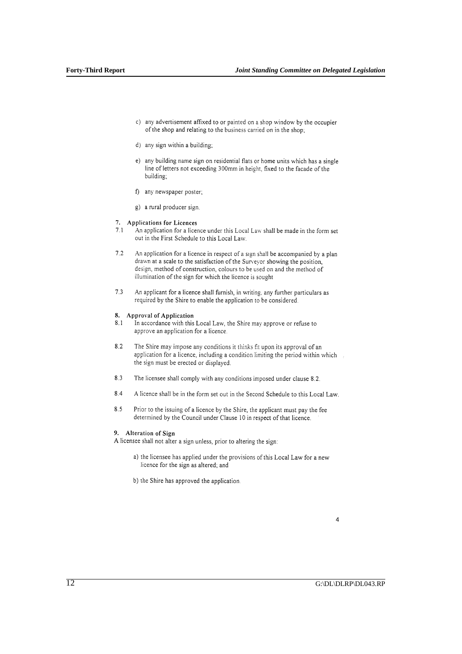- c) any advertisement affixed to or painted on a shop window by the occupier of the shop and relating to the business carried on in the shop.
- d) any sign within a building;
- e) any building name sign on residential flats or home units which has a single line of letters not exceeding 300mm in height, fixed to the facade of the building;
- f) any newspaper poster;
- g) a rural producer sign.

## 7. Applications for Licences

- $71$ An application for a licence under this Local Law shall be made in the form set out in the First Schedule to this Local Law.
- $7.2$ An application for a licence in respect of a sign shall be accompanied by a plan drawn at a scale to the satisfaction of the Surveyor showing the position, design, method of construction, colours to be used on and the method of illumination of the sign for which the licence is sought
- $7.3$ An applicant for a licence shall furnish, in writing, any further particulars as required by the Shire to enable the application to be considered.

#### 8. Approval of Application

- In accordance with this Local Law, the Shire may approve or refuse to  $8.1$ approve an application for a licence.
- 82 The Shire may impose any conditions it thinks fit upon its approval of an application for a licence, including a condition limiting the period within which the sign must be erected or displayed.
- $8.3$ The licensee shall comply with any conditions imposed under clause 8.2.
- 8.4 A licence shall be in the form set out in the Second Schedule to this Local Law.
- 8.5 Prior to the issuing of a licence by the Shire, the applicant must pay the fee determined by the Council under Clause 10 in respect of that licence.

## 9. Alteration of Sign

A licensee shall not alter a sign unless, prior to altering the sign:

- a) the licensee has applied under the provisions of this Local Law for a new licence for the sign as altered; and
- b) the Shire has approved the application.

## $\overline{\mathbf{4}}$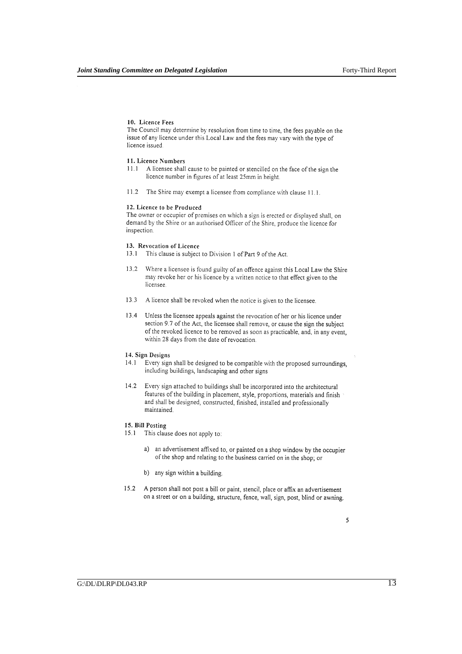## 10. Licence Fees

The Council may determine by resolution from time to time, the fees payable on the issue of any licence under this Local Law and the fees may vary with the type of licence issued.

#### 11. Licence Numbers

- $111$ A licensee shall cause to be painted or stencilled on the face of the sign the licence number in figures of at least 25mm in height.
- $11.2\,$ The Shire may exempt a licensee from compliance with clause 11.1.

## 12. Licence to be Produced

The owner or occupier of premises on which a sign is erected or displayed shall, on demand by the Shire or an authorised Officer of the Shire, produce the licence for inspection.

#### 13. Revocation of Licence

- 13.1 This clause is subject to Division 1 of Part 9 of the Act.
- 13.2 Where a licensee is found guilty of an offence against this Local Law the Shire may revoke her or his licence by a written notice to that effect given to the licensee.
- 13.3 A licence shall be revoked when the notice is given to the licensee.
- 13.4 Unless the licensee appeals against the revocation of her or his licence under section 9.7 of the Act, the licensee shall remove, or cause the sign the subject of the revoked licence to be removed as soon as practicable, and, in any event, within 28 days from the date of revocation.

## 14. Sign Designs

- $14.1$ Every sign shall be designed to be compatible with the proposed surroundings, including buildings, landscaping and other signs
- 14.2 Every sign attached to buildings shall be incorporated into the architectural features of the building in placement, style, proportions, materials and finish and shall be designed, constructed, finished, installed and professionally maintained.

## 15. Bill Posting

- 15.1 This clause does not apply to:
	- a) an advertisement affixed to, or painted on a shop window by the occupier of the shop and relating to the business carried on in the shop; or
	- b) any sign within a building
- 15.2 A person shall not post a bill or paint, stencil, place or affix an advertisement on a street or on a building, structure, fence, wall, sign, post, blind or awning.

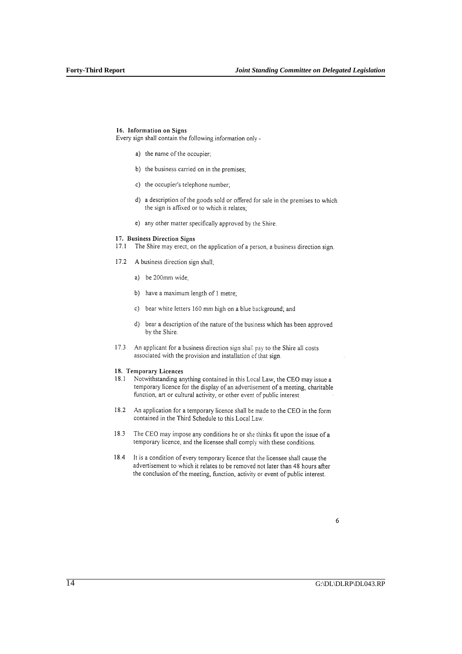## 16. Information on Signs

Every sign shall contain the following information only -

- a) the name of the occupier;
- b) the business carried on in the premises;
- c) the occupier's telephone number;
- d) a description of the goods sold or offered for sale in the premises to which the sign is affixed or to which it relates;
- e) any other matter specifically approved by the Shire.

#### 17. Business Direction Signs

- 17.1 The Shire may erect, on the application of a person, a business direction sign.
- 17.2 A business direction sign shall:
	- a) be 200mm wide;
	- b) have a maximum length of 1 metre;
	- c) bear white letters 160 mm high on a blue background; and
	- d) bear a description of the nature of the business which has been approved by the Shire.
- $17.3$ An applicant for a business direction sign shall pay to the Shire all costs associated with the provision and installation of that sign.

## 18. Temporary Licences

- Notwithstanding anything contained in this Local Law, the CEO may issue a  $18.1$ temporary licence for the display of an advertisement of a meeting, charitable function, art or cultural activity, or other event of public interest.
- 18.2 An application for a temporary licence shall be made to the CEO in the form contained in the Third Schedule to this Local Law.
- 18.3 The CEO may impose any conditions he or she thinks fit upon the issue of a temporary licence, and the licensee shall comply with these conditions.
- 18.4 It is a condition of every temporary licence that the licensee shall cause the advertisement to which it relates to be removed not later than 48 hours after the conclusion of the meeting, function, activity or event of public interest.

6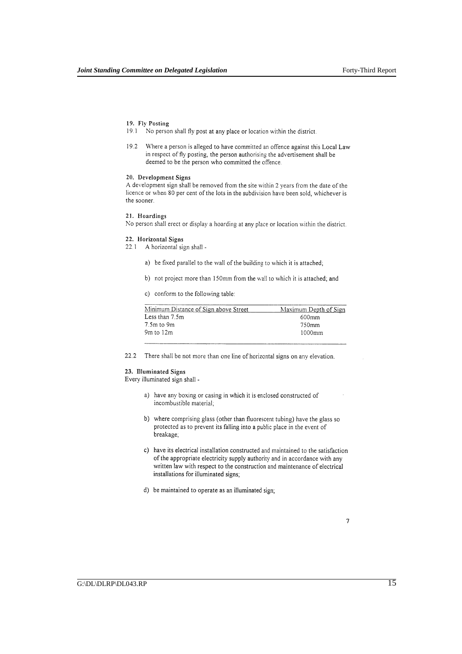### 19. Fly Posting

- 19.1 No person shall fly post at any place or location within the district.
- Where a person is alleged to have committed an offence against this Local Law 19.2 in respect of fly posting, the person authorising the advertisement shall be deemed to be the person who committed the offence.

## 20. Development Signs

A development sign shall be removed from the site within 2 years from the date of the licence or when 80 per cent of the lots in the subdivision have been sold, whichever is the sooner.

## 21. Hoardings

No person shall erect or display a hoarding at any place or location within the district.

#### 22. Horizontal Signs

22.1 A horizontal sign shall -

- a) be fixed parallel to the wall of the building to which it is attached;
- b) not project more than 150mm from the wall to which it is attached; and
- c) conform to the following table:

| Minimum Distance of Sign above Street | Maximum Depth of Sign |
|---------------------------------------|-----------------------|
| Less than 7.5m                        | 600mm                 |
| 7.5m to 9m                            | 750mm                 |
| 9m to 12m                             | $1000$ mm             |

 $22.2$ There shall be not more than one line of horizontal signs on any elevation.

### 23. Illuminated Signs

Every illuminated sign shall -

- a) have any boxing or casing in which it is enclosed constructed of incombustible material,
- b) where comprising glass (other than fluorescent tubing) have the glass so protected as to prevent its falling into a public place in the event of breakage,
- c) have its electrical installation constructed and maintained to the satisfaction of the appropriate electricity supply authority and in accordance with any written law with respect to the construction and maintenance of electrical installations for illuminated signs;
- d) be maintained to operate as an illuminated sign;

 $\boldsymbol{7}$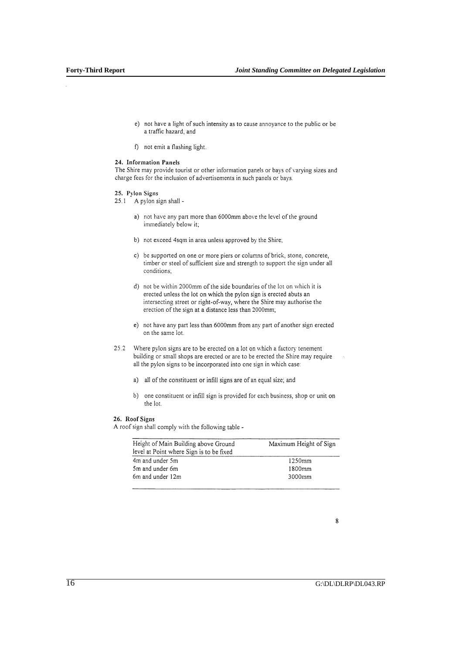- e) not have a light of such intensity as to cause annoyance to the public or be a traffic hazard; and
- f) not emit a flashing light.

## 24. Information Panels

The Shire may provide tourist or other information panels or bays of varying sizes and charge fees for the inclusion of advertisements in such panels or bays.

- 25. Pylon Signs
- 25.1 A pylon sign shall
	- a) not have any part more than 6000mm above the level of the ground immediately below it;
	- b) not exceed 4sqm in area unless approved by the Shire;
	- c) be supported on one or more piers or columns of brick, stone, concrete, timber or steel of sufficient size and strength to support the sign under all conditions:
	- d) not be within 2000mm of the side boundaries of the lot on which it is erected unless the lot on which the pylon sign is erected abuts an intersecting street or right-of-way, where the Shire may authorise the erection of the sign at a distance less than 2000mm;
	- e) not have any part less than 6000mm from any part of another sign erected on the same lot.
- $25.2$ Where pylon signs are to be erected on a lot on which a factory tenement building or small shops are erected or are to be erected the Shire may require all the pylon signs to be incorporated into one sign in which case:
	- a) all of the constituent or infill signs are of an equal size; and
	- b) one constituent or infill sign is provided for each business, shop or unit on the lot.

### 26. Roof Signs

A roof sign shall comply with the following table -

| Height of Main Building above Ground<br>level at Point where Sign is to be fixed | Maximum Height of Sign |  |  |
|----------------------------------------------------------------------------------|------------------------|--|--|
| 4m and under 5m                                                                  | 1250mm                 |  |  |
| 5m and under 6m                                                                  | 1800mm                 |  |  |
| 6m and under 12m                                                                 | 3000mm                 |  |  |

<sup>8</sup>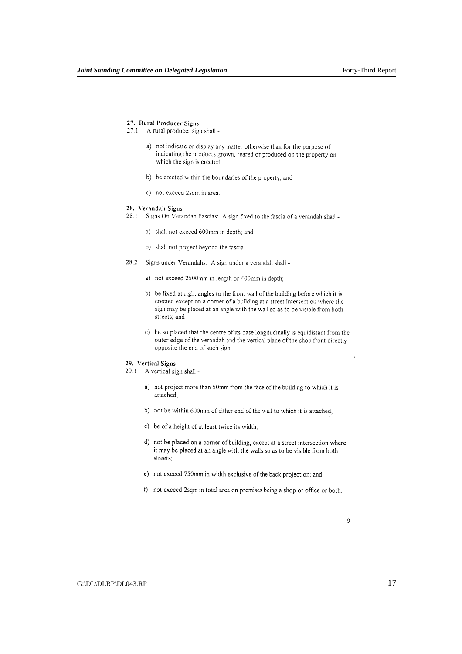## 27. Rural Producer Signs

- 27.1 A rural producer sign shall
	- a) not indicate or display any matter otherwise than for the purpose of indicating the products grown, reared or produced on the property on which the sign is erected;
	- b) be erected within the boundaries of the property; and
	- c) not exceed 2sqm in area.

### 28. Verandah Signs

- 28.1 Signs On Verandah Fascias: A sign fixed to the fascia of a verandah shall
	- a) shall not exceed 600mm in depth; and
	- b) shall not project beyond the fascia.
- 28.2 Signs under Verandahs: A sign under a verandah shall
	- a) not exceed 2500mm in length or 400mm in depth;
	- b) be fixed at right angles to the front wall of the building before which it is erected except on a corner of a building at a street intersection where the sign may be placed at an angle with the wall so as to be visible from both streets; and
	- c) be so placed that the centre of its base longitudinally is equidistant from the outer edge of the verandah and the vertical plane of the shop front directly opposite the end of such sign.

#### 29. Vertical Signs

- 29.1 A vertical sign shall
	- a) not project more than 50mm from the face of the building to which it is attached;
	- b) not be within 600mm of either end of the wall to which it is attached;
	- c) be of a height of at least twice its width;
	- d) not be placed on a corner of building, except at a street intersection where it may be placed at an angle with the walls so as to be visible from both streets;
	- e) not exceed 750mm in width exclusive of the back projection; and
	- f) not exceed 2sqm in total area on premises being a shop or office or both.

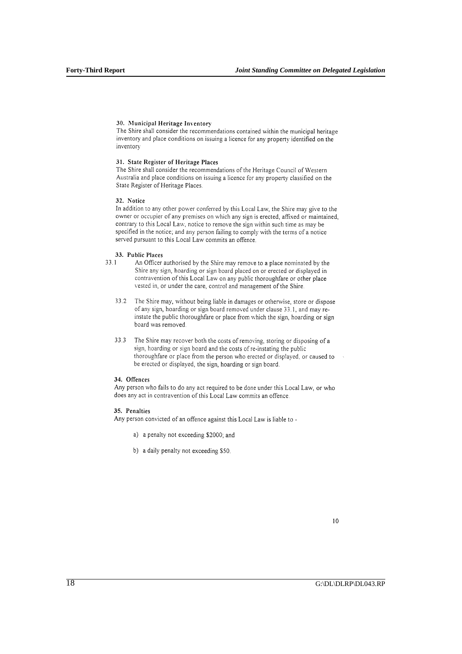## 30. Municipal Heritage Inventory

The Shire shall consider the recommendations contained within the municipal heritage inventory and place conditions on issuing a licence for any property identified on the inventory

## 31. State Register of Heritage Places

The Shire shall consider the recommendations of the Heritage Council of Western Australia and place conditions on issuing a licence for any property classified on the State Register of Heritage Places.

## 32. Notice

In addition to any other power conferred by this Local Law, the Shire may give to the owner or occupier of any premises on which any sign is erected, affixed or maintained, contrary to this Local Law, notice to remove the sign within such time as may be specified in the notice; and any person failing to comply with the terms of a notice served pursuant to this Local Law commits an offence.

#### 33. Public Places

- $33.1$ An Officer authorised by the Shire may remove to a place nominated by the Shire any sign, hoarding or sign board placed on or erected or displayed in contravention of this Local Law on any public thoroughfare or other place vested in, or under the care, control and management of the Shire.
	- 33.2 The Shire may, without being liable in damages or otherwise, store or dispose of any sign, hoarding or sign board removed under clause 33.1, and may reinstate the public thoroughfare or place from which the sign, hoarding or sign board was removed.
	- 33.3 The Shire may recover both the costs of removing, storing or disposing of a sign, hoarding or sign board and the costs of re-instating the public thoroughfare or place from the person who erected or displayed, or caused to be erected or displayed, the sign, hoarding or sign board.

## 34. Offences

Any person who fails to do any act required to be done under this Local Law, or who does any act in contravention of this Local Law commits an offence.

## 35. Penalties

Any person convicted of an offence against this Local Law is liable to -

- a) a penalty not exceeding \$2000; and
- b) a daily penalty not exceeding \$50.

 $10$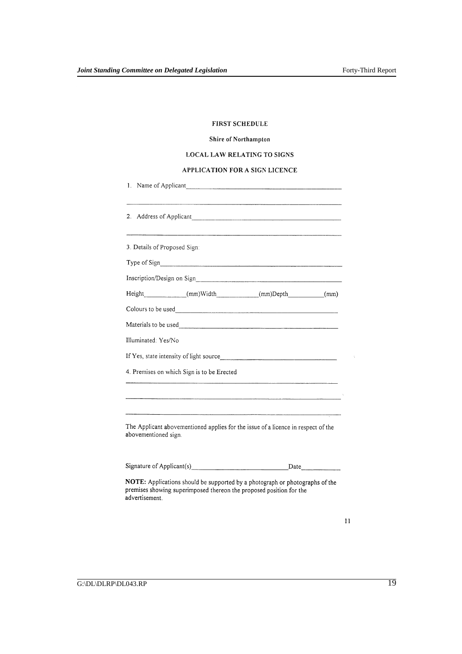## FIRST SCHEDULE

## Shire of Northampton

## **LOCAL LAW RELATING TO SIGNS**

## APPLICATION FOR A SIGN LICENCE

| 3. Details of Proposed Sign: |                                                                                   |  |
|------------------------------|-----------------------------------------------------------------------------------|--|
|                              |                                                                                   |  |
|                              |                                                                                   |  |
|                              | Height_____________(mm)Width____________(mm)Depth_________(mm)                    |  |
|                              |                                                                                   |  |
|                              |                                                                                   |  |
|                              |                                                                                   |  |
|                              |                                                                                   |  |
|                              |                                                                                   |  |
|                              | 4. Premises on which Sign is to be Erected                                        |  |
|                              |                                                                                   |  |
| Illuminated: Yes/No          |                                                                                   |  |
|                              | The Applicant abovementioned applies for the issue of a licence in respect of the |  |
| abovementioned sign.         |                                                                                   |  |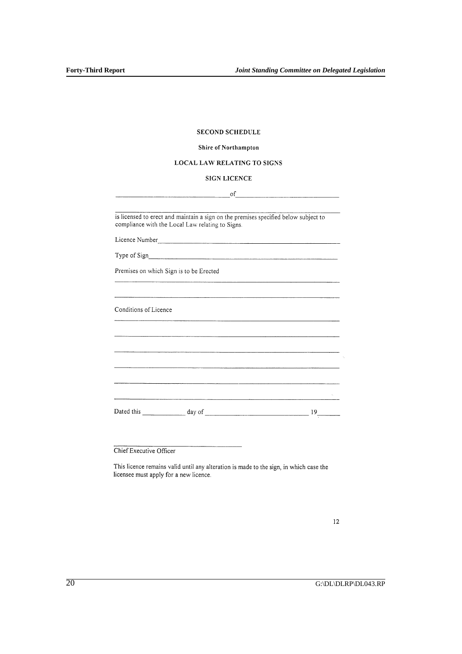## **SECOND SCHEDULE**

## Shire of Northampton

## LOCAL LAW RELATING TO SIGNS

## SIGN LICENCE

 $\sigma$ f

is licensed to erect and maintain a sign on the premises specified below subject to compliance with the Local Law relating to Signs.

Type of Sign

Premises on which Sign is to be Erected

Conditions of Licence

 $\label{eq:2.1} \mathcal{L}(\mathcal{L}^{\text{max}}_{\text{max}}) = \frac{1}{\sqrt{2\pi}}\sum_{i=1}^{N} \frac{1}{\sqrt{2\pi}}\sum_{i=1}^{N} \frac{1}{\sqrt{2\pi}}\sum_{i=1}^{N} \frac{1}{\sqrt{2\pi}}\sum_{i=1}^{N} \frac{1}{\sqrt{2\pi}}\sum_{i=1}^{N} \frac{1}{\sqrt{2\pi}}\sum_{i=1}^{N} \frac{1}{\sqrt{2\pi}}\sum_{i=1}^{N} \frac{1}{\sqrt{2\pi}}\sum_{i=1}^{N} \frac{1}{\sqrt{2$ 

Chief Executive Officer

This licence remains valid until any alteration is made to the sign, in which case the licensee must apply for a new licence.

 $12$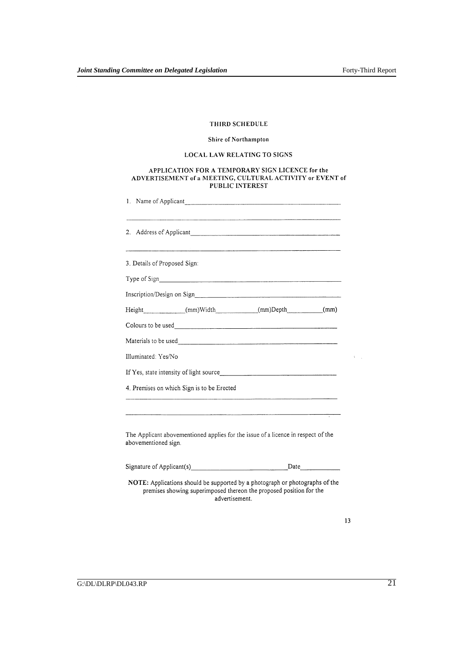## THIRD SCHEDULE

## Shire of Northampton

## LOCAL LAW RELATING TO SIGNS

# APPLICATION FOR A TEMPORARY SIGN LICENCE for the<br>ADVERTISEMENT of a MEETING, CULTURAL ACTIVITY or EVENT of<br>PUBLIC INTEREST

|                              | 1. Name of Applicant                                                                                                                                                         |  |
|------------------------------|------------------------------------------------------------------------------------------------------------------------------------------------------------------------------|--|
|                              |                                                                                                                                                                              |  |
| 3. Details of Proposed Sign: |                                                                                                                                                                              |  |
|                              |                                                                                                                                                                              |  |
|                              |                                                                                                                                                                              |  |
|                              | Height (mm)Width (mm)Depth (mm)                                                                                                                                              |  |
|                              |                                                                                                                                                                              |  |
|                              |                                                                                                                                                                              |  |
| Illuminated: Yes/No          |                                                                                                                                                                              |  |
|                              |                                                                                                                                                                              |  |
|                              | 4. Premises on which Sign is to be Erected                                                                                                                                   |  |
|                              | .<br>1980 - Andrej Bartham, Amerikaansk ferhandse foar de Franse fan de Franse fan de Franse fan de Franse fan de F                                                          |  |
| abovementioned sign.         | The Applicant abovementioned applies for the issue of a licence in respect of the                                                                                            |  |
|                              |                                                                                                                                                                              |  |
|                              | <b>NOTE:</b> Applications should be supported by a photograph or photographs of the<br>premises showing superimposed thereon the proposed position for the<br>advertisement. |  |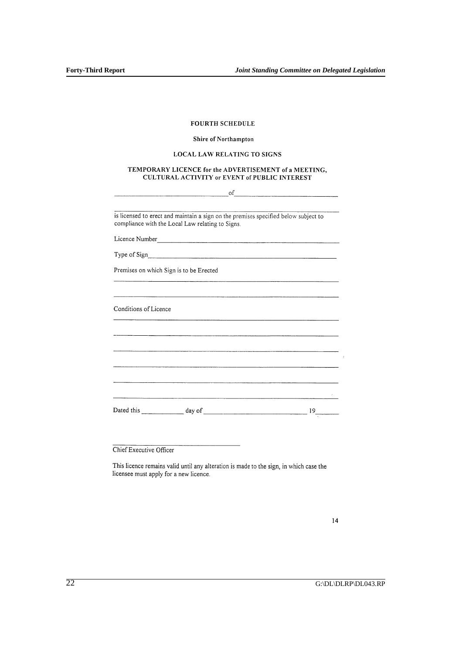| <b>FOURTH SCHEDULE</b> |
|------------------------|
|                        |

## Shire of Northampton

## LOCAL LAW RELATING TO SIGNS

## TEMPORARY LICENCE for the ADVERTISEMENT of a MEETING, CULTURAL ACTIVITY or EVENT of PUBLIC INTEREST

| of                                                                                                                                                                                                                                   |    |
|--------------------------------------------------------------------------------------------------------------------------------------------------------------------------------------------------------------------------------------|----|
|                                                                                                                                                                                                                                      |    |
| is licensed to erect and maintain a sign on the premises specified below subject to<br>compliance with the Local Law relating to Signs.                                                                                              |    |
|                                                                                                                                                                                                                                      |    |
|                                                                                                                                                                                                                                      |    |
| Premises on which Sign is to be Erected                                                                                                                                                                                              |    |
|                                                                                                                                                                                                                                      |    |
| Conditions of Licence<br>,我们的人们也不能在这里,我们的人们也不能在这里,我们的人们也不能在这里的人们,我们也不能在这里的人们,我们也不能在这里的人们,我们也不能在这里的人们,我们也不                                                                                                                            |    |
|                                                                                                                                                                                                                                      |    |
|                                                                                                                                                                                                                                      |    |
|                                                                                                                                                                                                                                      |    |
|                                                                                                                                                                                                                                      |    |
| <u>. Andre al de la componentación de la componentación de la componentación de la componentación de la componentación de la componentación de la componentación de la componentación de la componentación de la componentación </u> |    |
|                                                                                                                                                                                                                                      | 19 |

Chief Executive Officer

This licence remains valid until any alteration is made to the sign, in which case the licensee must apply for a new licence.

 $14$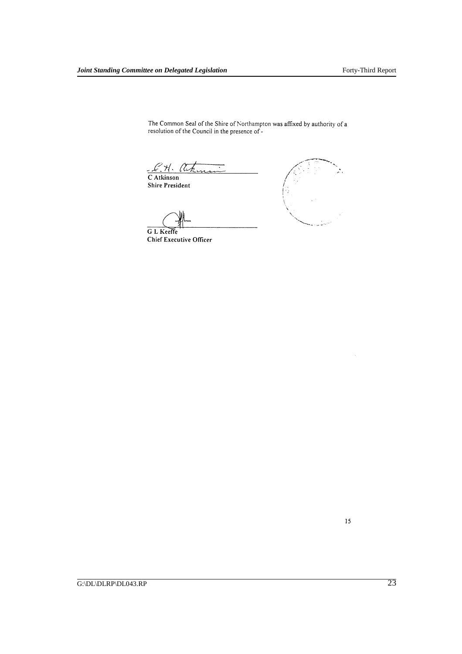The Common Seal of the Shire of Northampton was affixed by authority of a resolution of the Council in the presence of -

E. H. A.

**Shire President** 

G L Keeffe



**Chief Executive Officer** 

15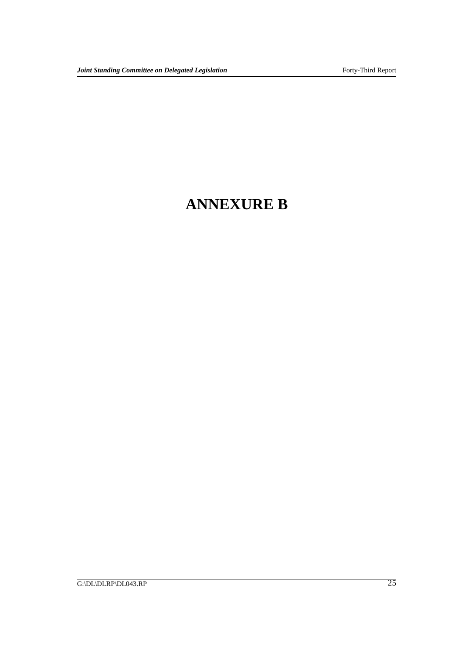## **ANNEXURE B**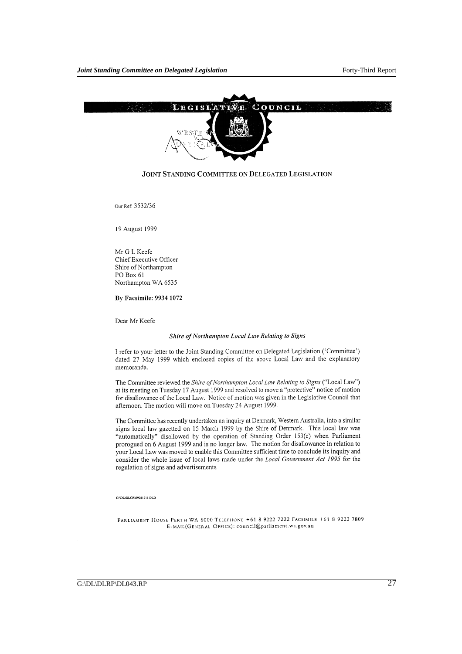

## JOINT STANDING COMMITTEE ON DELEGATED LEGISLATION

Our Ref: 3532/36

19 August 1999

Mr G L Keefe Chief Executive Officer Shire of Northampton PO Box 61 Northampton WA 6535

## By Facsimile: 9934 1072

Dear Mr Keefe

## Shire of Northampton Local Law Relating to Signs

I refer to your letter to the Joint Standing Committee on Delegated Legislation ('Committee') dated 27 May 1999 which enclosed copies of the above Local Law and the explanatory memoranda.

The Committee reviewed the Shire of Northampton Local Law Relating to Signs ("Local Law") at its meeting on Tuesday 17 August 1999 and resolved to move a "protective" notice of motion for disallowance of the Local Law. Notice of motion was given in the Legislative Council that afternoon. The motion will move on Tuesday 24 August 1999.

The Committee has recently undertaken an inquiry at Denmark, Western Australia, into a similar signs local law gazetted on 15 March 1999 by the Shire of Denmark. This local law was "automatically" disallowed by the operation of Standing Order 153(c) when Parliament prorogued on 6 August 1999 and is no longer law. The motion for disallowance in relation to your Local Law was moved to enable this Committee sufficient time to conclude its inquiry and consider the whole issue of local laws made under the Local Government Act 1995 for the regulation of signs and advertisements.

#### G:\DL\DLCR\99081711.DLD

PARLIAMENT HOUSE PERTH WA 6000 TELEPHONE +61 8 9222 7222 FACSIMILE +61 8 9222 7809 E-MAIL(GENERAL OFFICE): council@parliament.wa.gov.au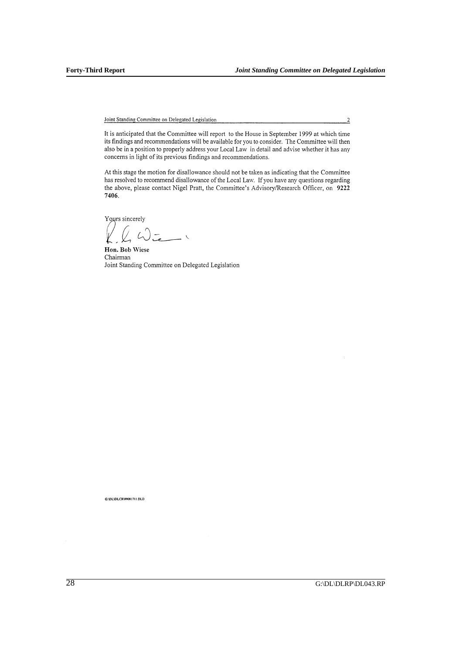It is anticipated that the Committee will report to the House in September 1999 at which time<br>its findings and recommendations will be available for you to consider. The Committee will then also be in a position to properly address your Local Law in detail and advise whether it has any concerns in light of its previous findings and recommendations.

At this stage the motion for disallowance should not be taken as indicating that the Committee has resolved to recommend disallowance of the Local Law. If you have any questions regarding the above, please contact Nigel Pratt, the Committee's Advisory/Research Officer, on 9222 7406.

Yours sincerely

 $\overline{\phantom{0}}$  $\sqrt{2}$ 

Hon. Bob Wiese Chairman Joint Standing Committee on Delegated Legislation

G:\DL\DLCR\99081711.DLD

 $\overline{2}$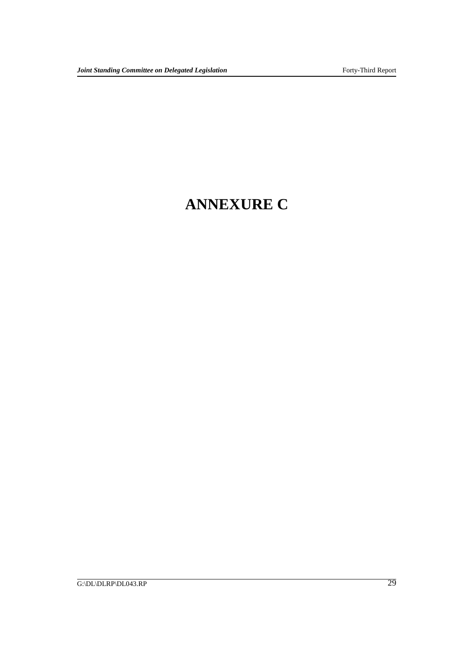## **ANNEXURE C**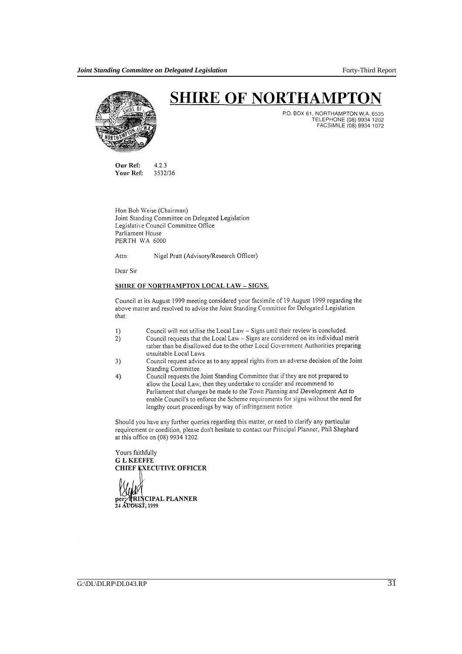

## **SHIRE OF NORTHAMPTO**

P.O. BOX 61, NORTHAMPTON W.A. 6535 TELEPHONE (08) 9934 1202<br>FACSIMILE (08) 9934 1072

Our Ref:  $4.2.3$ Your Ref: 3532/36

Hon Bob Weise (Chairman) Joint Standing Committee on Delegated Legislation Legislative Council Committee Office Parliament House PERTH WA 6000

Nigel Pratt (Advisory/Research Officer) Attn:

Dear Sir

## SHIRE OF NORTHAMPTON LOCAL LAW - SIGNS.

Council at its August 1999 meeting considered your facsimile of 19 August 1999 regarding the above matter and resolved to advise the Joint Standing Committee for Delegated Legislation  $that:$ 

- Council will not utilise the Local Law Signs until their review is concluded. 1)
- Council requests that the Local Law Signs are considered on its individual merit  $2)$ rather than be disallowed due to the other Local Government Authorities preparing unsuitable Local Laws.
- Council request advice as to any appeal rights from an adverse decision of the Joint 3) Standing Committee.
- Council requests the Joint Standing Committee that if they are not prepared to  $4)$ allow the Local Law, then they undertake to consider and recommend to Parliament that changes be made to the Town Planning and Development Act to enable Council's to enforce the Scheme requirements for signs without the need for lengthy court proceedings by way of infringement notice.

Should you have any further queries regarding this matter, or need to clarify any particular requirement or condition, please don't hesitate to contact our Principal Planner, Phil Shephard at this office on (08) 9934 1202.

Yours faithfully **GLKEEFFE CHIEF EXECUTIVE OFFICER** RINCIPAL PLANNER **24 AUGUST, 1999**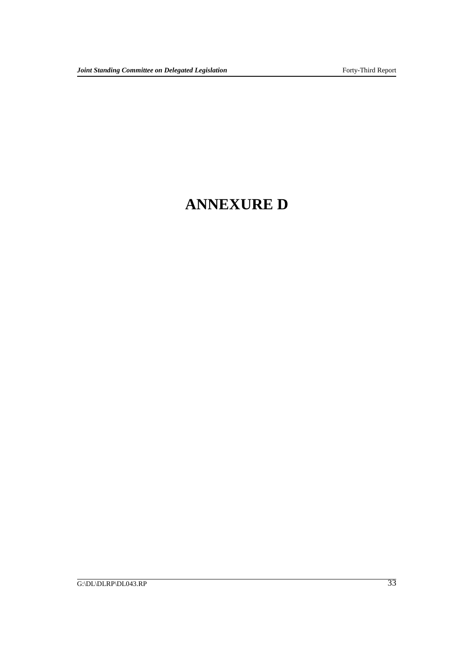## **ANNEXURE D**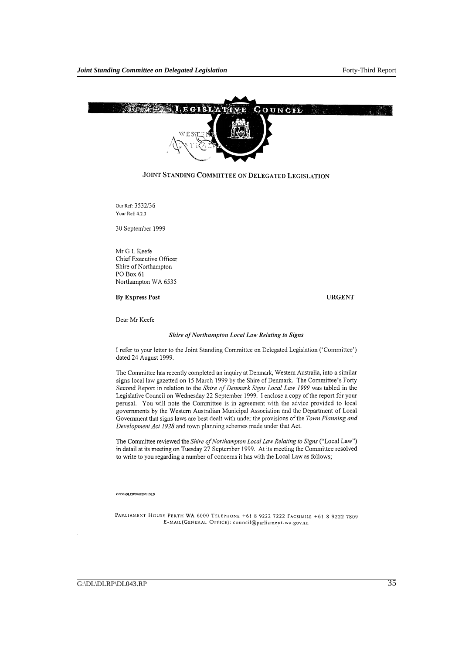

## JOINT STANDING COMMITTEE ON DELEGATED LEGISLATION

Our Ref: 3532/36 Your Ref: 4.2.3

30 September 1999

Mr G L Keefe Chief Executive Officer Shire of Northampton PO Box 61 Northampton WA 6535

## **By Express Post**

**URGENT** 

Dear Mr Keefe

## Shire of Northampton Local Law Relating to Signs

I refer to your letter to the Joint Standing Committee on Delegated Legislation ('Committee') dated 24 August 1999.

The Committee has recently completed an inquiry at Denmark, Western Australia, into a similar signs local law gazetted on 15 March 1999 by the Shire of Denmark. The Committee's Forty Second Report in relation to the Shire of Denmark Signs Local Law 1999 was tabled in the Legislative Council on Wednesday 22 September 1999. I enclose a copy of the report for your perusal. You will note the Committee is in agreement with the advice provided to local governments by the Western Australian Municipal Association and the Department of Local Government that signs laws are best dealt with under the provisions of the Town Planning and Development Act 1928 and town planning schemes made under that Act.

The Committee reviewed the Shire of Northampton Local Law Relating to Signs ("Local Law") in detail at its meeting on Tuesday 27 September 1999. At its meeting the Committee resolved to write to you regarding a number of concerns it has with the Local Law as follows;

#### G:\DL\DLCR\99092901 DLD

PARLIAMENT HOUSE PERTH WA 6000 TELEPHONE +61 8 9222 7222 FACSIMILE +61 8 9222 7809 E-MAIL(GENERAL OFFICE): council@parliament.wa.gov.au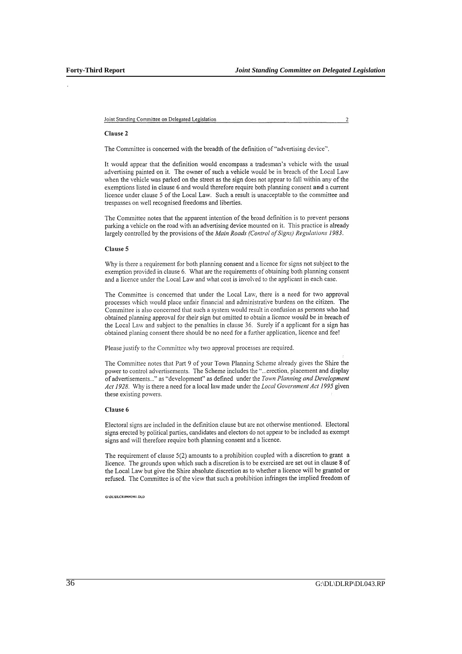$\overline{c}$ 

### Clause 2

The Committee is concerned with the breadth of the definition of "advertising device".

It would appear that the definition would encompass a tradesman's vehicle with the usual advertising painted on it. The owner of such a vehicle would be in breach of the Local Law when the vehicle was parked on the street as the sign does not appear to fall within any of the exemptions listed in clause 6 and would therefore require both planning consent and a current licence under clause 5 of the Local Law. Such a result is unacceptable to the committee and trespasses on well recognised freedoms and liberties.

The Committee notes that the apparent intention of the broad definition is to prevent persons parking a vehicle on the road with an advertising device mounted on it. This practice is already largely controlled by the provisions of the Main Roads (Control of Signs) Regulations 1983.

#### Clause 5

Why is there a requirement for both planning consent and a licence for signs not subject to the exemption provided in clause 6. What are the requirements of obtaining both planning consent and a licence under the Local Law and what cost is involved to the applicant in each case.

The Committee is concerned that under the Local Law, there is a need for two approval processes which would place unfair financial and administrative burdens on the citizen. The Committee is also concerned that such a system would result in confusion as persons who had obtained planning approval for their sign but omitted to obtain a licence would be in breach of the Local Law and subject to the penalties in clause 36. Surely if a applicant for a sign has obtained planing consent there should be no need for a further application, licence and fee!

Please justify to the Committee why two approval processes are required.

The Committee notes that Part 9 of your Town Planning Scheme already gives the Shire the power to control advertisements. The Scheme includes the "...erection, placement and display of advertisements..." as "development" as defined under the Town Planning and Development Act 1928. Why is there a need for a local law made under the Local Government Act 1995 given these existing powers.

#### Clause 6

Electoral signs are included in the definition clause but are not otherwise mentioned. Electoral signs erected by political parties, candidates and electors do not appear to be included as exempt signs and will therefore require both planning consent and a licence.

The requirement of clause 5(2) amounts to a prohibition coupled with a discretion to grant a licence. The grounds upon which such a discretion is to be exercised are set out in clause 8 of the Local Law but give the Shire absolute discretion as to whether a licence will be granted or refused. The Committee is of the view that such a prohibition infringes the implied freedom of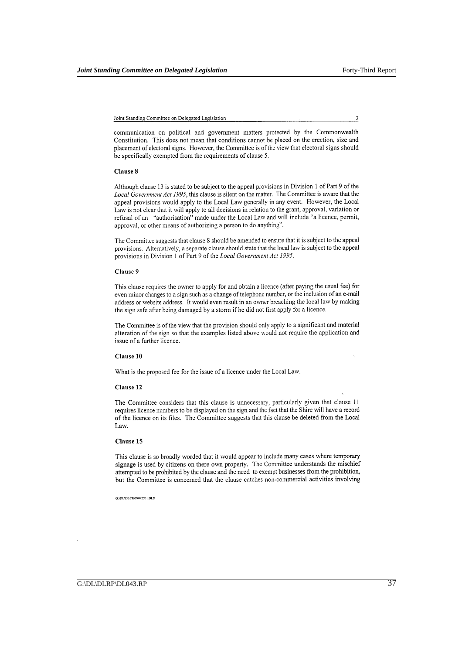3

Joint Standing Committee on Delegated Legislation

communication on political and government matters protected by the Commonwealth Constitution. This does not mean that conditions cannot be placed on the erection, size and placement of electoral signs. However, the Committee is of the view that electoral signs should be specifically exempted from the requirements of clause 5.

#### Clause 8

Although clause 13 is stated to be subject to the appeal provisions in Division 1 of Part 9 of the Local Government Act 1995, this clause is silent on the matter. The Committee is aware that the appeal provisions would apply to the Local Law generally in any event. However, the Local Law is not clear that it will apply to all decisions in relation to the grant, approval, variation or refusal of an "authorisation" made under the Local Law and will include "a licence, permit, approval, or other means of authorizing a person to do anything".

The Committee suggests that clause 8 should be amended to ensure that it is subject to the appeal provisions. Alternatively, a separate clause should state that the local law is subject to the appeal provisions in Division 1 of Part 9 of the Local Government Act 1995.

#### Clause 9

This clause requires the owner to apply for and obtain a licence (after paying the usual fee) for even minor changes to a sign such as a change of telephone number, or the inclusion of an e-mail address or website address. It would even result in an owner breaching the local law by making the sign safe after being damaged by a storm if he did not first apply for a licence.

The Committee is of the view that the provision should only apply to a significant and material alteration of the sign so that the examples listed above would not require the application and issue of a further licence.

#### Clause 10

What is the proposed fee for the issue of a licence under the Local Law.

#### Clause 12

The Committee considers that this clause is unnecessary, particularly given that clause 11 requires licence numbers to be displayed on the sign and the fact that the Shire will have a record of the licence on its files. The Committee suggests that this clause be deleted from the Local Law.

### Clause 15

This clause is so broadly worded that it would appear to include many cases where temporary signage is used by citizens on there own property. The Committee understands the mischief attempted to be prohibited by the clause and the need to exempt businesses from the prohibition, but the Committee is concerned that the clause catches non-commercial activities involving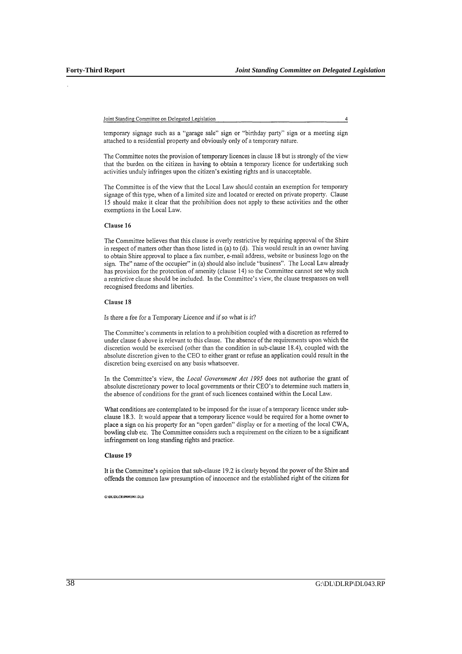$\overline{4}$ 

temporary signage such as a "garage sale" sign or "birthday party" sign or a meeting sign attached to a residential property and obviously only of a temporary nature.

The Committee notes the provision of temporary licences in clause 18 but is strongly of the view that the burden on the citizen in having to obtain a temporary licence for undertaking such activities unduly infringes upon the citizen's existing rights and is unacceptable.

The Committee is of the view that the Local Law should contain an exemption for temporary signage of this type, when of a limited size and located or erected on private property. Clause 15 should make it clear that the prohibition does not apply to these activities and the other exemptions in the Local Law.

### Clause 16

The Committee believes that this clause is overly restrictive by requiring approval of the Shire in respect of matters other than those listed in (a) to (d). This would result in an owner having to obtain Shire approval to place a fax number, e-mail address, website or business logo on the sign. The" name of the occupier" in (a) should also include "business". The Local Law already has provision for the protection of amenity (clause 14) so the Committee cannot see why such a restrictive clause should be included. In the Committee's view, the clause trespasses on well recognised freedoms and liberties.

## Clause 18

Is there a fee for a Temporary Licence and if so what is it?

The Committee's comments in relation to a prohibition coupled with a discretion as referred to under clause 6 above is relevant to this clause. The absence of the requirements upon which the discretion would be exercised (other than the condition in sub-clause 18.4), coupled with the absolute discretion given to the CEO to either grant or refuse an application could result in the discretion being exercised on any basis whatsoever.

In the Committee's view, the Local Government Act 1995 does not authorise the grant of absolute discretionary power to local governments or their CEO's to determine such matters in the absence of conditions for the grant of such licences contained within the Local Law.

What conditions are contemplated to be imposed for the issue of a temporary licence under subclause 18.3. It would appear that a temporary licence would be required for a home owner to place a sign on his property for an "open garden" display or for a meeting of the local CWA, bowling club etc. The Committee considers such a requirement on the citizen to be a significant infringement on long standing rights and practice.

## Clause 19

It is the Committee's opinion that sub-clause 19.2 is clearly beyond the power of the Shire and offends the common law presumption of innocence and the established right of the citizen for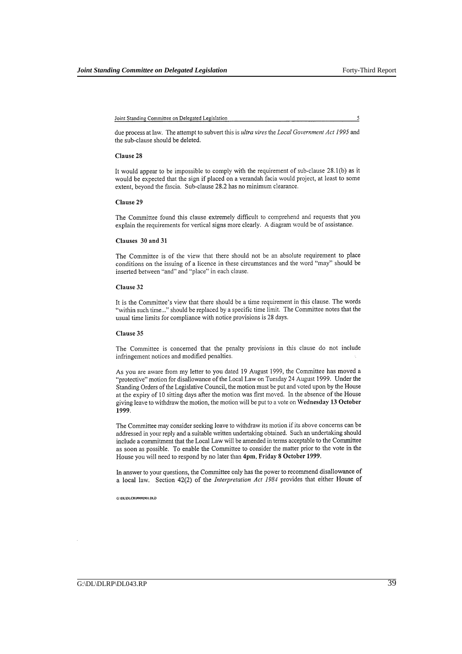5

due process at law. The attempt to subvert this is ultra vires the Local Government Act 1995 and the sub-clause should be deleted.

#### Clause 28

It would appear to be impossible to comply with the requirement of sub-clause 28.1(b) as it would be expected that the sign if placed on a verandah facia would project, at least to some extent, beyond the fascia. Sub-clause 28.2 has no minimum clearance.

#### Clause 29

The Committee found this clause extremely difficult to comprehend and requests that you explain the requirements for vertical signs more clearly. A diagram would be of assistance.

#### Clauses 30 and 31

The Committee is of the view that there should not be an absolute requirement to place conditions on the issuing of a licence in these circumstances and the word "may" should be inserted between "and" and "place" in each clause.

#### Clause 32

It is the Committee's view that there should be a time requirement in this clause. The words "within such time..." should be replaced by a specific time limit. The Committee notes that the usual time limits for compliance with notice provisions is 28 days.

#### Clause 35

The Committee is concerned that the penalty provisions in this clause do not include infringement notices and modified penalties.

As you are aware from my letter to you dated 19 August 1999, the Committee has moved a "protective" motion for disallowance of the Local Law on Tuesday 24 August 1999. Under the Standing Orders of the Legislative Council, the motion must be put and voted upon by the House at the expiry of 10 sitting days after the motion was first moved. In the absence of the House giving leave to withdraw the motion, the motion will be put to a vote on Wednesday 13 October 1999.

The Committee may consider seeking leave to withdraw its motion if its above concerns can be addressed in your reply and a suitable written undertaking obtained. Such an undertaking should include a commitment that the Local Law will be amended in terms acceptable to the Committee as soon as possible. To enable the Committee to consider the matter prior to the vote in the House you will need to respond by no later than 4pm, Friday 8 October 1999.

In answer to your questions, the Committee only has the power to recommend disallowance of a local law. Section 42(2) of the Interpretation Act 1984 provides that either House of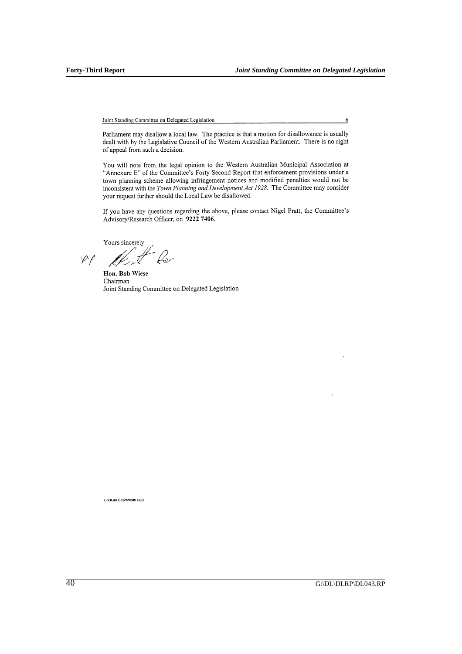Parliament may disallow a local law. The practice is that a motion for disallowance is usually dealt with by the Legislative Council of the Western Australian Parliament. There is no right of appeal from such a decision.

You will note from the legal opinion to the Western Australian Municipal Association at "Annexure E" of the Committee's Forty Second Report that enforcement provisions under a town planning scheme allowing infringement notices and modified penalties would not be inconsistent with the Town Planning and Development Act 1928. The Committee may consider your request further should the Local Law be disallowed.

If you have any questions regarding the above, please contact Nigel Pratt, the Committee's Advisory/Research Officer, on 9222 7406.

Yours sincerely

.<br>Per  $\varphi$ .

Hon. Bob Wiese Chairman Joint Standing Committee on Delegated Legislation

G:\DL\DLCR\99092901.DLD

 $6 \overline{6}$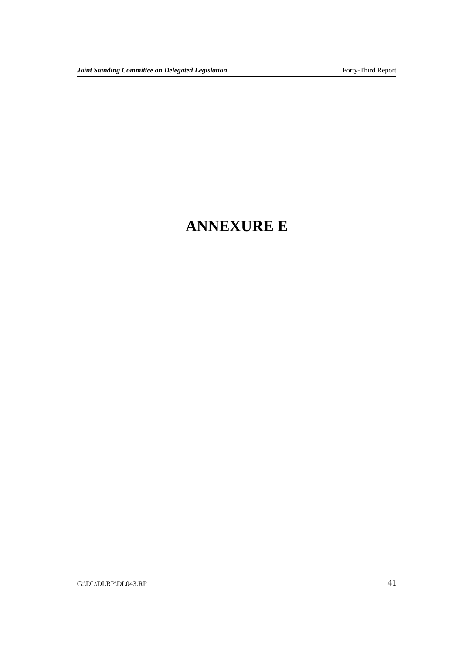## **ANNEXURE E**